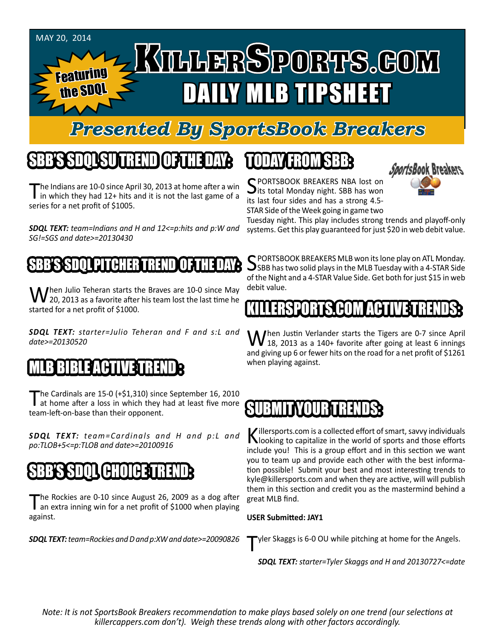

# *Presented By SportsBook Breakers*

# SBB'S SDQL SU TREND OF THE DAY:

he Indians are 10-0 since April 30, 2013 at home after a win I in which they had 12+ hits and it is not the last game of a series for a net profit of \$1005.

*SDQL TEXT: team=Indians and H and 12<=p:hits and p:W and SG!=SGS and date>=20130430*

#### SSSSDQL PITCHHER TREND

When Julio Teheran starts the Braves are 10-0 since May<br>20, 2013 as a favorite after his team lost the last time he started for a net profit of \$1000.

*SDQL TEXT: starter=Julio Teheran and F and s:L and date>=20130520*

#### $3$ ! HI

The Cardinals are 15-0 (+\$1,310) since September 16, 2010<br>at home after a loss in which they had at least five more team-left-on-base than their opponent.

*SDQL TEXT: team=Cardinals and H and p:L and po:TLOB+5<=p:TLOB and date>=20100916*

# SBB'S SDQL CHOICE TREND

The Rockies are 0-10 since August 26, 2009 as a dog after<br>an extra inning win for a net profit of \$1000 when playing against.

*SDQL TEXT: team=Rockies and D and p:XW and date>=20090826*

# TODAY HAOMSBB



SPORTSBOOK BREAKERS NBA lost on<br>its total Monday night. SBB has won its last four sides and has a strong 4.5- STAR Side of the Week going in game two

Tuesday night. This play includes strong trends and playoff-only systems. Get this play guaranteed for just \$20 in web debit value.

SPORTSBOOK BREAKERS MLB won its lone play on ATL Monday.<br>SBB has two solid plays in the MLB Tuesday with a 4-STAR Side of the Night and a 4-STAR Value Side. Get both for just \$15 in web debit value.

# SPORTS.COM ACT

When Justin Verlander starts the Tigers are 0-7 since April 18, 2013 as a 140+ favorite after going at least 6 innings and giving up 6 or fewer hits on the road for a net profit of \$1261 when playing against.

# SUBMITYOUR TRENDS:

Killersports.com is a collected effort of smart, savvy individuals<br>Nooking to capitalize in the world of sports and those efforts include you! This is a group effort and in this section we want you to team up and provide each other with the best information possible! Submit your best and most interesting trends to kyle@killersports.com and when they are active, will will publish them in this section and credit you as the mastermind behind a great MLB find.

#### **USER Submitted: JAY1**

Tyler Skaggs is 6-0 OU while pitching at home for the Angels.

*SDQL TEXT: starter=Tyler Skaggs and H and 20130727<=date*

*Note: It is not SportsBook Breakers recommendation to make plays based solely on one trend (our selections at killercappers.com don't). Weigh these trends along with other factors accordingly.*